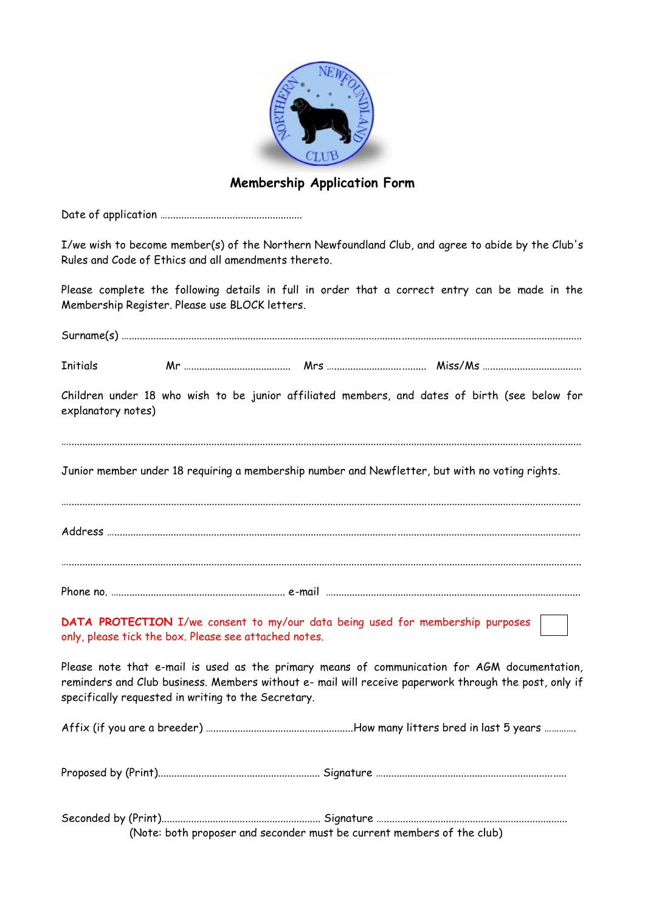

## **Membership Application Form**

Date of application …..................................................

I/we wish to become member(s) of the Northern Newfoundland Club, and agree to abide by the Club's Rules and Code of Ethics and all amendments thereto.

Please complete the following details in full in order that a correct entry can be made in the Membership Register. Please use BLOCK letters.

| <b>Initials</b>    |                                                                                                                                                                                                                                                              |  |  |
|--------------------|--------------------------------------------------------------------------------------------------------------------------------------------------------------------------------------------------------------------------------------------------------------|--|--|
| explanatory notes) | Children under 18 who wish to be junior affiliated members, and dates of birth (see below for                                                                                                                                                                |  |  |
|                    | Junior member under 18 requiring a membership number and Newfletter, but with no voting rights.                                                                                                                                                              |  |  |
|                    |                                                                                                                                                                                                                                                              |  |  |
|                    |                                                                                                                                                                                                                                                              |  |  |
|                    | DATA PROTECTION I/we consent to my/our data being used for membership purposes<br>only, please tick the box. Please see attached notes.                                                                                                                      |  |  |
|                    | Please note that e-mail is used as the primary means of communication for AGM documentation,<br>reminders and Club business. Members without e- mail will receive paperwork through the post, only if<br>specifically requested in writing to the Secretary. |  |  |
|                    |                                                                                                                                                                                                                                                              |  |  |
|                    |                                                                                                                                                                                                                                                              |  |  |
|                    | (Note: both proposer and seconder must be current members of the club)                                                                                                                                                                                       |  |  |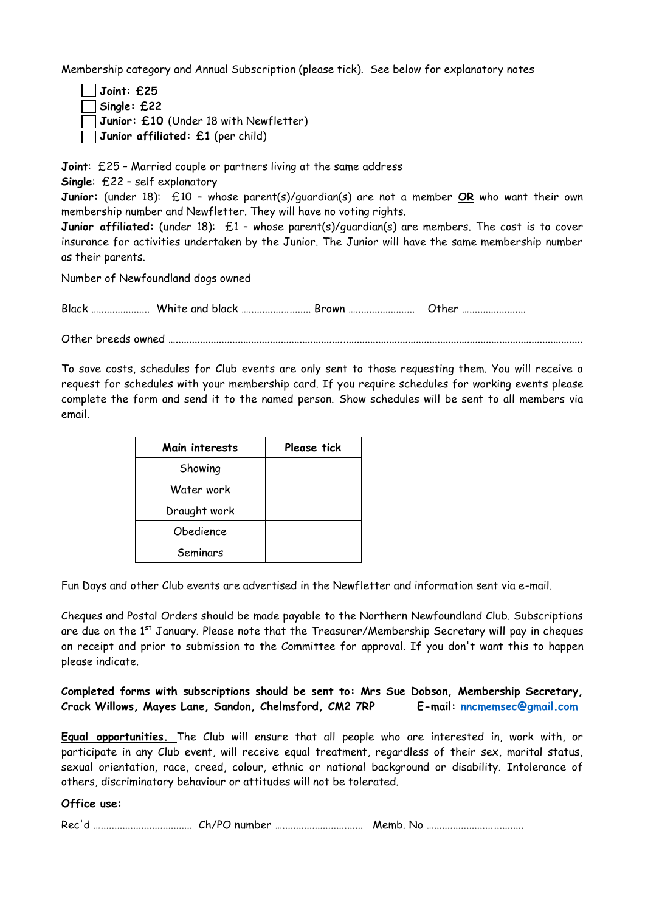Membership category and Annual Subscription (please tick). See below for explanatory notes

- **Joint: £25**
- **Single: £22**

**Junior: £10** (Under 18 with Newfletter)

**Junior affiliated: £1** (per child)

**Joint**: £25 – Married couple or partners living at the same address

**Single**: £22 – self explanatory

**Junior:** (under 18): £10 – whose parent(s)/guardian(s) are not a member **OR** who want their own membership number and Newfletter. They will have no voting rights.

**Junior affiliated:** (under 18):  $\pm 1$  - whose parent(s)/quardian(s) are members. The cost is to cover insurance for activities undertaken by the Junior. The Junior will have the same membership number as their parents.

Number of Newfoundland dogs owned

Black …………………………………… White and black …………………………… Brown …………………………………………………………………

Other breeds owned ….......................................................................................................................................................

To save costs, schedules for Club events are only sent to those requesting them. You will receive a request for schedules with your membership card. If you require schedules for working events please complete the form and send it to the named person. Show schedules will be sent to all members via email.

| Main interests | Please tick |
|----------------|-------------|
| Showing        |             |
| Water work     |             |
| Draught work   |             |
| Obedience      |             |
| Seminars       |             |

Fun Days and other Club events are advertised in the Newfletter and information sent via e-mail.

Cheques and Postal Orders should be made payable to the Northern Newfoundland Club. Subscriptions are due on the  $1^{st}$  January. Please note that the Treasurer/Membership Secretary will pay in cheques on receipt and prior to submission to the Committee for approval. If you don't want this to happen please indicate.

**Completed forms with subscriptions should be sent to: Mrs Sue Dobson, Membership Secretary, Crack Willows, Mayes Lane, Sandon, Chelmsford, CM2 7RP E-mail: [nncmemsec@gmail.com](mailto:nncmemsec@gmail.com)**

**Equal opportunities.** The Club will ensure that all people who are interested in, work with, or participate in any Club event, will receive equal treatment, regardless of their sex, marital status, sexual orientation, race, creed, colour, ethnic or national background or disability. Intolerance of others, discriminatory behaviour or attitudes will not be tolerated.

#### **Office use:**

| Rec'd |  |
|-------|--|
|-------|--|